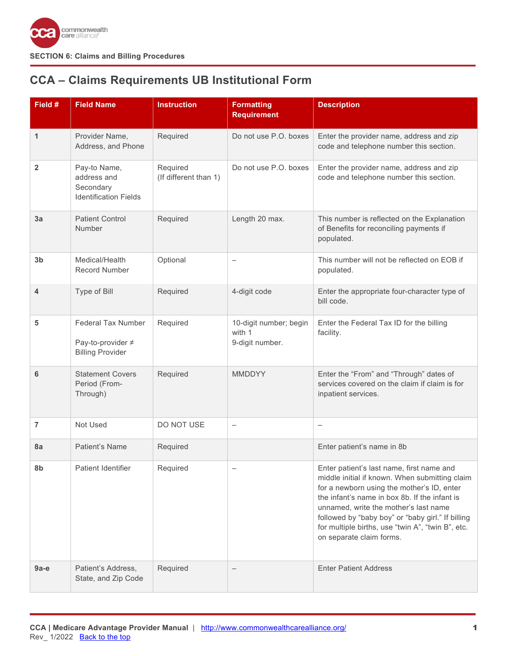

# <span id="page-0-0"></span>**CCA – Claims Requirements UB Institutional Form**

| Field #                 | <b>Field Name</b>                                                        | <b>Instruction</b>                | <b>Formatting</b><br><b>Requirement</b>             | <b>Description</b>                                                                                                                                                                                                                                                                                                                                                        |
|-------------------------|--------------------------------------------------------------------------|-----------------------------------|-----------------------------------------------------|---------------------------------------------------------------------------------------------------------------------------------------------------------------------------------------------------------------------------------------------------------------------------------------------------------------------------------------------------------------------------|
| 1                       | Provider Name,<br>Address, and Phone                                     | Required                          | Do not use P.O. boxes                               | Enter the provider name, address and zip<br>code and telephone number this section.                                                                                                                                                                                                                                                                                       |
| $\overline{\mathbf{2}}$ | Pay-to Name,<br>address and<br>Secondary<br><b>Identification Fields</b> | Required<br>(If different than 1) | Do not use P.O. boxes                               | Enter the provider name, address and zip<br>code and telephone number this section.                                                                                                                                                                                                                                                                                       |
| 3a                      | <b>Patient Control</b><br>Number                                         | Required                          | Length 20 max.                                      | This number is reflected on the Explanation<br>of Benefits for reconciling payments if<br>populated.                                                                                                                                                                                                                                                                      |
| 3 <sub>b</sub>          | Medical/Health<br><b>Record Number</b>                                   | Optional                          | $\qquad \qquad -$                                   | This number will not be reflected on EOB if<br>populated.                                                                                                                                                                                                                                                                                                                 |
| 4                       | Type of Bill                                                             | Required                          | 4-digit code                                        | Enter the appropriate four-character type of<br>bill code.                                                                                                                                                                                                                                                                                                                |
| 5                       | Federal Tax Number<br>Pay-to-provider ≠<br><b>Billing Provider</b>       | Required                          | 10-digit number; begin<br>with 1<br>9-digit number. | Enter the Federal Tax ID for the billing<br>facility.                                                                                                                                                                                                                                                                                                                     |
| 6                       | <b>Statement Covers</b><br>Period (From-<br>Through)                     | Required                          | <b>MMDDYY</b>                                       | Enter the "From" and "Through" dates of<br>services covered on the claim if claim is for<br>inpatient services.                                                                                                                                                                                                                                                           |
| $\overline{7}$          | Not Used                                                                 | DO NOT USE                        | $\overline{\phantom{0}}$                            | $\overline{\phantom{0}}$                                                                                                                                                                                                                                                                                                                                                  |
| 8a                      | Patient's Name                                                           | Required                          |                                                     | Enter patient's name in 8b                                                                                                                                                                                                                                                                                                                                                |
| 8b                      | Patient Identifier                                                       | Required                          |                                                     | Enter patient's last name, first name and<br>middle initial if known. When submitting claim<br>for a newborn using the mother's ID, enter<br>the infant's name in box 8b. If the infant is<br>unnamed, write the mother's last name<br>followed by "baby boy" or "baby girl." If billing<br>for multiple births, use "twin A", "twin B", etc.<br>on separate claim forms. |
| $9a-e$                  | Patient's Address,<br>State, and Zip Code                                | Required                          |                                                     | <b>Enter Patient Address</b>                                                                                                                                                                                                                                                                                                                                              |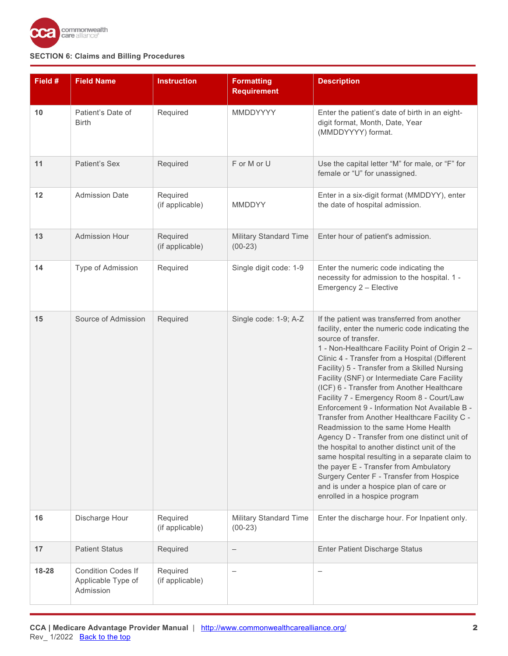

| Field #   | <b>Field Name</b>                                            | <b>Instruction</b>          | <b>Formatting</b><br><b>Requirement</b>    | <b>Description</b>                                                                                                                                                                                                                                                                                                                                                                                                                                                                                                                                                                                                                                                                                                                                                                                                                                                                  |
|-----------|--------------------------------------------------------------|-----------------------------|--------------------------------------------|-------------------------------------------------------------------------------------------------------------------------------------------------------------------------------------------------------------------------------------------------------------------------------------------------------------------------------------------------------------------------------------------------------------------------------------------------------------------------------------------------------------------------------------------------------------------------------------------------------------------------------------------------------------------------------------------------------------------------------------------------------------------------------------------------------------------------------------------------------------------------------------|
| 10        | Patient's Date of<br><b>Birth</b>                            | Required                    | MMDDYYYY                                   | Enter the patient's date of birth in an eight-<br>digit format, Month, Date, Year<br>(MMDDYYYY) format.                                                                                                                                                                                                                                                                                                                                                                                                                                                                                                                                                                                                                                                                                                                                                                             |
| 11        | Patient's Sex                                                | Required                    | F or M or U                                | Use the capital letter "M" for male, or "F" for<br>female or "U" for unassigned.                                                                                                                                                                                                                                                                                                                                                                                                                                                                                                                                                                                                                                                                                                                                                                                                    |
| 12        | <b>Admission Date</b>                                        | Required<br>(if applicable) | <b>MMDDYY</b>                              | Enter in a six-digit format (MMDDYY), enter<br>the date of hospital admission.                                                                                                                                                                                                                                                                                                                                                                                                                                                                                                                                                                                                                                                                                                                                                                                                      |
| 13        | <b>Admission Hour</b>                                        | Required<br>(if applicable) | Military Standard Time<br>$(00-23)$        | Enter hour of patient's admission.                                                                                                                                                                                                                                                                                                                                                                                                                                                                                                                                                                                                                                                                                                                                                                                                                                                  |
| 14        | Type of Admission                                            | Required                    | Single digit code: 1-9                     | Enter the numeric code indicating the<br>necessity for admission to the hospital. 1 -<br>Emergency 2 - Elective                                                                                                                                                                                                                                                                                                                                                                                                                                                                                                                                                                                                                                                                                                                                                                     |
| 15        | Source of Admission                                          | Required                    | Single code: 1-9; A-Z                      | If the patient was transferred from another<br>facility, enter the numeric code indicating the<br>source of transfer.<br>1 - Non-Healthcare Facility Point of Origin 2 -<br>Clinic 4 - Transfer from a Hospital (Different<br>Facility) 5 - Transfer from a Skilled Nursing<br>Facility (SNF) or Intermediate Care Facility<br>(ICF) 6 - Transfer from Another Healthcare<br>Facility 7 - Emergency Room 8 - Court/Law<br>Enforcement 9 - Information Not Available B -<br>Transfer from Another Healthcare Facility C -<br>Readmission to the same Home Health<br>Agency D - Transfer from one distinct unit of<br>the hospital to another distinct unit of the<br>same hospital resulting in a separate claim to<br>the payer E - Transfer from Ambulatory<br>Surgery Center F - Transfer from Hospice<br>and is under a hospice plan of care or<br>enrolled in a hospice program |
| 16        | Discharge Hour                                               | Required<br>(if applicable) | <b>Military Standard Time</b><br>$(00-23)$ | Enter the discharge hour. For Inpatient only.                                                                                                                                                                                                                                                                                                                                                                                                                                                                                                                                                                                                                                                                                                                                                                                                                                       |
| 17        | <b>Patient Status</b>                                        | Required                    | —                                          | <b>Enter Patient Discharge Status</b>                                                                                                                                                                                                                                                                                                                                                                                                                                                                                                                                                                                                                                                                                                                                                                                                                                               |
| $18 - 28$ | <b>Condition Codes If</b><br>Applicable Type of<br>Admission | Required<br>(if applicable) |                                            | $\overline{\phantom{0}}$                                                                                                                                                                                                                                                                                                                                                                                                                                                                                                                                                                                                                                                                                                                                                                                                                                                            |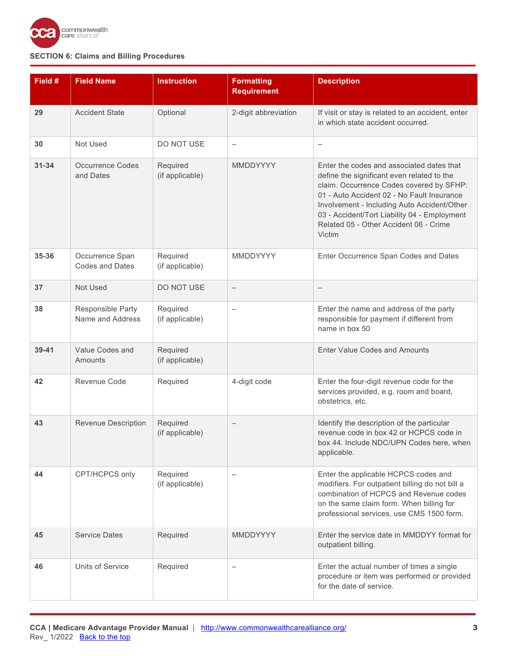

| Field #   | <b>Field Name</b>                         | <b>Instruction</b>          | <b>Formatting</b><br><b>Requirement</b> | <b>Description</b>                                                                                                                                                                                                                                                                                                                   |
|-----------|-------------------------------------------|-----------------------------|-----------------------------------------|--------------------------------------------------------------------------------------------------------------------------------------------------------------------------------------------------------------------------------------------------------------------------------------------------------------------------------------|
| 29        | <b>Accident State</b>                     | Optional                    | 2-digit abbreviation                    | If visit or stay is related to an accident, enter<br>in which state accident occurred.                                                                                                                                                                                                                                               |
| 30        | Not Used                                  | DO NOT USE                  | $\qquad \qquad -$                       | $\overline{\phantom{0}}$                                                                                                                                                                                                                                                                                                             |
| $31 - 34$ | <b>Occurrence Codes</b><br>and Dates      | Required<br>(if applicable) | <b>MMDDYYYY</b>                         | Enter the codes and associated dates that<br>define the significant even related to the<br>claim. Occurrence Codes covered by SFHP:<br>01 - Auto Accident 02 - No Fault Insurance<br>Involvement - Including Auto Accident/Other<br>03 - Accident/Tort Liability 04 - Employment<br>Related 05 - Other Accident 06 - Crime<br>Victim |
| 35-36     | Occurrence Span<br><b>Codes and Dates</b> | Required<br>(if applicable) | MMDDYYYY                                | Enter Occurrence Span Codes and Dates                                                                                                                                                                                                                                                                                                |
| 37        | Not Used                                  | DO NOT USE                  | $\overline{\phantom{m}}$                | $\overline{\phantom{m}}$                                                                                                                                                                                                                                                                                                             |
| 38        | Responsible Party<br>Name and Address     | Required<br>(if applicable) |                                         | Enter the name and address of the party<br>responsible for payment if different from<br>name in box 50                                                                                                                                                                                                                               |
| $39 - 41$ | Value Codes and<br>Amounts                | Required<br>(if applicable) |                                         | <b>Enter Value Codes and Amounts</b>                                                                                                                                                                                                                                                                                                 |
| 42        | Revenue Code                              | Required                    | 4-digit code                            | Enter the four-digit revenue code for the<br>services provided, e.g. room and board,<br>obstetrics, etc.                                                                                                                                                                                                                             |
| 43        | <b>Revenue Description</b>                | Required<br>(if applicable) |                                         | Identify the description of the particular<br>revenue code in box 42 or HCPCS code in<br>box 44. Include NDC/UPN Codes here, when<br>applicable.                                                                                                                                                                                     |
| 44        | CPT/HCPCS only                            | Required<br>(if applicable) |                                         | Enter the applicable HCPCS codes and<br>modifiers. For outpatient billing do not bill a<br>combination of HCPCS and Revenue codes<br>on the same claim form. When billing for<br>professional services, use CMS 1500 form.                                                                                                           |
| 45        | <b>Service Dates</b>                      | Required                    | <b>MMDDYYYY</b>                         | Enter the service date in MMDDYY format for<br>outpatient billing.                                                                                                                                                                                                                                                                   |
| 46        | Units of Service                          | Required                    | $\overline{\phantom{0}}$                | Enter the actual number of times a single<br>procedure or item was performed or provided<br>for the date of service.                                                                                                                                                                                                                 |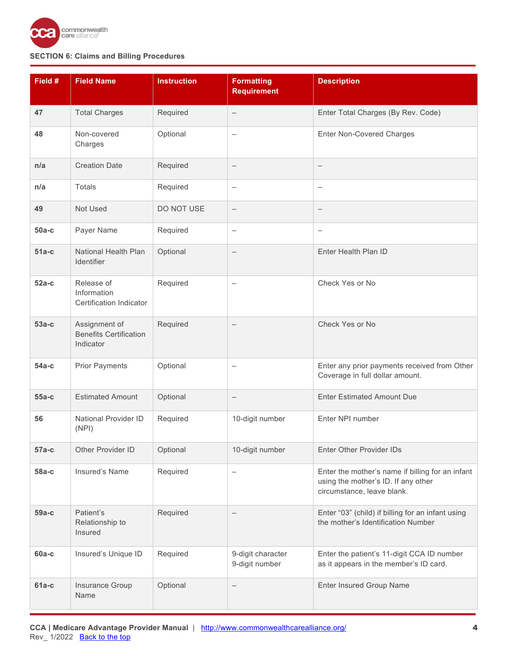

| Field # | <b>Field Name</b>                                           | <b>Instruction</b> | <b>Formatting</b><br><b>Requirement</b> | <b>Description</b>                                                                                                    |
|---------|-------------------------------------------------------------|--------------------|-----------------------------------------|-----------------------------------------------------------------------------------------------------------------------|
| 47      | <b>Total Charges</b>                                        | Required           | $\qquad \qquad -$                       | Enter Total Charges (By Rev. Code)                                                                                    |
| 48      | Non-covered<br>Charges                                      | Optional           | $\overline{\phantom{0}}$                | <b>Enter Non-Covered Charges</b>                                                                                      |
| n/a     | <b>Creation Date</b>                                        | Required           | $\qquad \qquad -$                       | $\qquad \qquad -$                                                                                                     |
| n/a     | <b>Totals</b>                                               | Required           | $\overline{\phantom{m}}$                | $\qquad \qquad -$                                                                                                     |
| 49      | Not Used                                                    | DO NOT USE         | $\qquad \qquad -$                       |                                                                                                                       |
| $50a-c$ | Payer Name                                                  | Required           | $\qquad \qquad -$                       | $\qquad \qquad -$                                                                                                     |
| $51a-c$ | National Health Plan<br>Identifier                          | Optional           | $\qquad \qquad -$                       | Enter Health Plan ID                                                                                                  |
| $52a-c$ | Release of<br>Information<br>Certification Indicator        | Required           | —                                       | Check Yes or No                                                                                                       |
| $53a-c$ | Assignment of<br><b>Benefits Certification</b><br>Indicator | Required           | $\overline{\phantom{0}}$                | Check Yes or No                                                                                                       |
| $54a-c$ | <b>Prior Payments</b>                                       | Optional           | $\overline{\phantom{0}}$                | Enter any prior payments received from Other<br>Coverage in full dollar amount.                                       |
| $55a-c$ | <b>Estimated Amount</b>                                     | Optional           | $\qquad \qquad -$                       | <b>Enter Estimated Amount Due</b>                                                                                     |
| 56      | National Provider ID<br>(NPI)                               | Required           | 10-digit number                         | Enter NPI number                                                                                                      |
| $57a-c$ | Other Provider ID                                           | Optional           | 10-digit number                         | <b>Enter Other Provider IDs</b>                                                                                       |
| $58a-c$ | Insured's Name                                              | Required           | $\qquad \qquad -$                       | Enter the mother's name if billing for an infant<br>using the mother's ID. If any other<br>circumstance, leave blank. |
| $59a-c$ | Patient's<br>Relationship to<br>Insured                     | Required           |                                         | Enter "03" (child) if billing for an infant using<br>the mother's Identification Number                               |
| $60a-c$ | Insured's Unique ID                                         | Required           | 9-digit character<br>9-digit number     | Enter the patient's 11-digit CCA ID number<br>as it appears in the member's ID card.                                  |
| $61a-c$ | Insurance Group<br>Name                                     | Optional           | $\qquad \qquad -$                       | <b>Enter Insured Group Name</b>                                                                                       |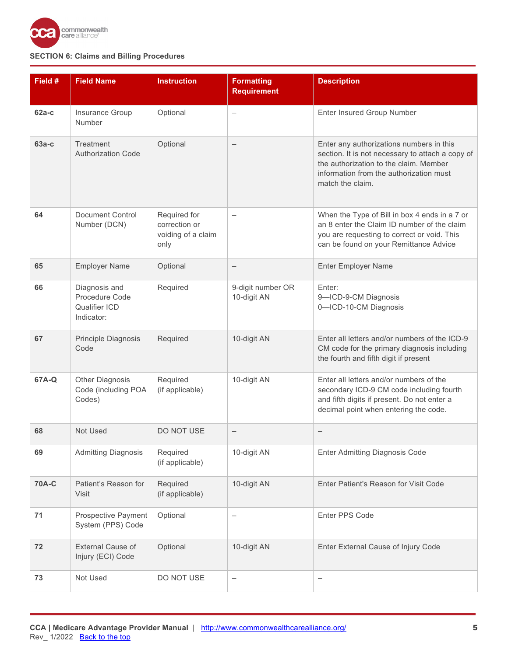

| Field #      | <b>Field Name</b>                                              | <b>Instruction</b>                                          | <b>Formatting</b><br><b>Requirement</b> | <b>Description</b>                                                                                                                                                                                    |
|--------------|----------------------------------------------------------------|-------------------------------------------------------------|-----------------------------------------|-------------------------------------------------------------------------------------------------------------------------------------------------------------------------------------------------------|
| $62a-c$      | Insurance Group<br>Number                                      | Optional                                                    | $\overline{\phantom{0}}$                | Enter Insured Group Number                                                                                                                                                                            |
| $63a-c$      | Treatment<br><b>Authorization Code</b>                         | Optional                                                    |                                         | Enter any authorizations numbers in this<br>section. It is not necessary to attach a copy of<br>the authorization to the claim. Member<br>information from the authorization must<br>match the claim. |
| 64           | <b>Document Control</b><br>Number (DCN)                        | Required for<br>correction or<br>voiding of a claim<br>only | $\overline{\phantom{0}}$                | When the Type of Bill in box 4 ends in a 7 or<br>an 8 enter the Claim ID number of the claim<br>you are requesting to correct or void. This<br>can be found on your Remittance Advice                 |
| 65           | <b>Employer Name</b>                                           | Optional                                                    | $\qquad \qquad -$                       | <b>Enter Employer Name</b>                                                                                                                                                                            |
| 66           | Diagnosis and<br>Procedure Code<br>Qualifier ICD<br>Indicator: | Required                                                    | 9-digit number OR<br>10-digit AN        | Enter:<br>9-ICD-9-CM Diagnosis<br>0-ICD-10-CM Diagnosis                                                                                                                                               |
| 67           | Principle Diagnosis<br>Code                                    | Required                                                    | 10-digit AN                             | Enter all letters and/or numbers of the ICD-9<br>CM code for the primary diagnosis including<br>the fourth and fifth digit if present                                                                 |
| 67A-Q        | Other Diagnosis<br>Code (including POA<br>Codes)               | Required<br>(if applicable)                                 | 10-digit AN                             | Enter all letters and/or numbers of the<br>secondary ICD-9 CM code including fourth<br>and fifth digits if present. Do not enter a<br>decimal point when entering the code.                           |
| 68           | Not Used                                                       | <b>DO NOT USE</b>                                           | $\qquad \qquad -$                       |                                                                                                                                                                                                       |
| 69           | <b>Admitting Diagnosis</b>                                     | Required<br>(if applicable)                                 | 10-digit AN                             | Enter Admitting Diagnosis Code                                                                                                                                                                        |
| <b>70A-C</b> | Patient's Reason for<br>Visit                                  | Required<br>(if applicable)                                 | 10-digit AN                             | Enter Patient's Reason for Visit Code                                                                                                                                                                 |
| 71           | Prospective Payment<br>System (PPS) Code                       | Optional                                                    | -                                       | Enter PPS Code                                                                                                                                                                                        |
| 72           | External Cause of<br>Injury (ECI) Code                         | Optional                                                    | 10-digit AN                             | Enter External Cause of Injury Code                                                                                                                                                                   |
| 73           | Not Used                                                       | DO NOT USE                                                  | $\overline{\phantom{0}}$                | $\overline{\phantom{0}}$                                                                                                                                                                              |